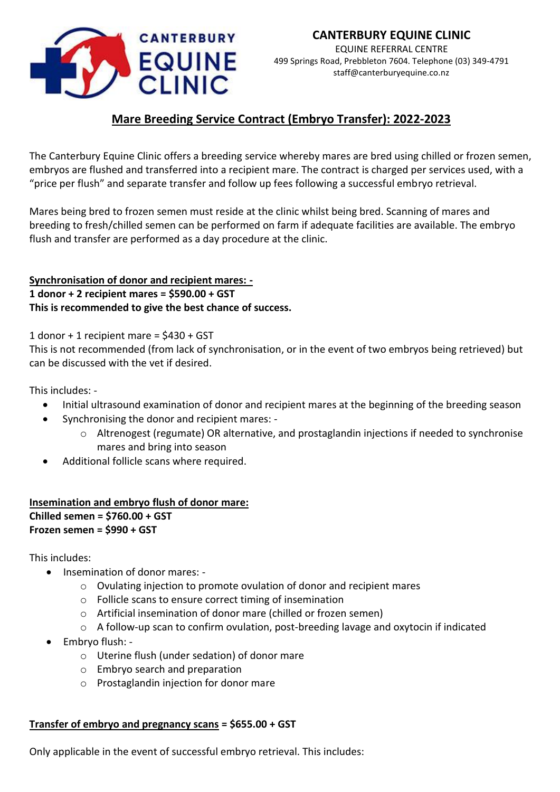

# **Mare Breeding Service Contract (Embryo Transfer): 2022-2023**

The Canterbury Equine Clinic offers a breeding service whereby mares are bred using chilled or frozen semen, embryos are flushed and transferred into a recipient mare. The contract is charged per services used, with a "price per flush" and separate transfer and follow up fees following a successful embryo retrieval.

Mares being bred to frozen semen must reside at the clinic whilst being bred. Scanning of mares and breeding to fresh/chilled semen can be performed on farm if adequate facilities are available. The embryo flush and transfer are performed as a day procedure at the clinic.

## **Synchronisation of donor and recipient mares: - 1 donor + 2 recipient mares = \$590.00 + GST This is recommended to give the best chance of success.**

1 donor + 1 recipient mare =  $$430 + GST$ 

This is not recommended (from lack of synchronisation, or in the event of two embryos being retrieved) but can be discussed with the vet if desired.

This includes: -

- Initial ultrasound examination of donor and recipient mares at the beginning of the breeding season
- Synchronising the donor and recipient mares:
	- o Altrenogest (regumate) OR alternative, and prostaglandin injections if needed to synchronise mares and bring into season
- Additional follicle scans where required.

## **Insemination and embryo flush of donor mare: Chilled semen = \$760.00 + GST Frozen semen = \$990 + GST**

This includes:

- Insemination of donor mares:
	- $\circ$  Ovulating injection to promote ovulation of donor and recipient mares
	- o Follicle scans to ensure correct timing of insemination
	- o Artificial insemination of donor mare (chilled or frozen semen)
	- o A follow-up scan to confirm ovulation, post-breeding lavage and oxytocin if indicated
- Embryo flush:
	- o Uterine flush (under sedation) of donor mare
	- o Embryo search and preparation
	- o Prostaglandin injection for donor mare

### **Transfer of embryo and pregnancy scans = \$655.00 + GST**

Only applicable in the event of successful embryo retrieval. This includes: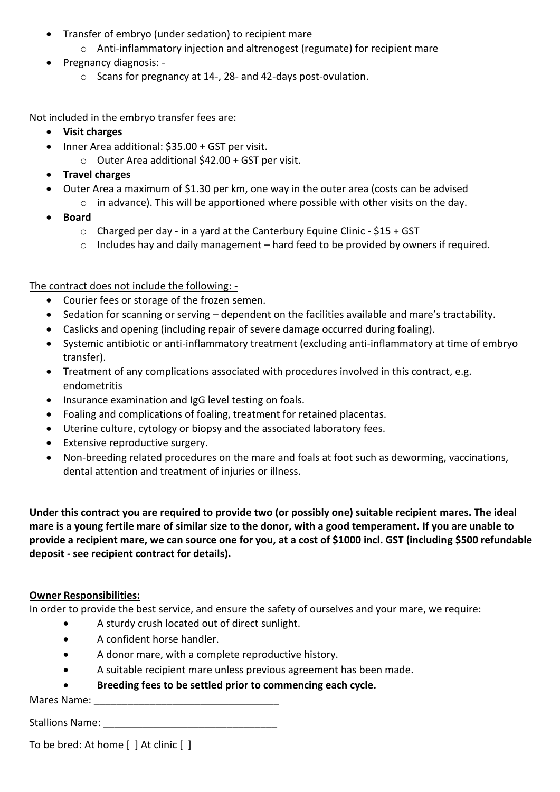- Transfer of embryo (under sedation) to recipient mare
	- o Anti-inflammatory injection and altrenogest (regumate) for recipient mare
- Pregnancy diagnosis:
	- o Scans for pregnancy at 14-, 28- and 42-days post-ovulation.

Not included in the embryo transfer fees are:

- **Visit charges**
- Inner Area additional: \$35.00 + GST per visit.
	- o Outer Area additional \$42.00 + GST per visit.
- **Travel charges**
- Outer Area a maximum of \$1.30 per km, one way in the outer area (costs can be advised
	- $\circ$  in advance). This will be apportioned where possible with other visits on the day.
- **Board**
	- $\circ$  Charged per day in a yard at the Canterbury Equine Clinic \$15 + GST
	- $\circ$  Includes hay and daily management hard feed to be provided by owners if required.

The contract does not include the following: -

- Courier fees or storage of the frozen semen.
- Sedation for scanning or serving dependent on the facilities available and mare's tractability.
- Caslicks and opening (including repair of severe damage occurred during foaling).
- Systemic antibiotic or anti-inflammatory treatment (excluding anti-inflammatory at time of embryo transfer).
- Treatment of any complications associated with procedures involved in this contract, e.g. endometritis
- Insurance examination and IgG level testing on foals.
- Foaling and complications of foaling, treatment for retained placentas.
- Uterine culture, cytology or biopsy and the associated laboratory fees.
- Extensive reproductive surgery.
- Non-breeding related procedures on the mare and foals at foot such as deworming, vaccinations, dental attention and treatment of injuries or illness.

**Under this contract you are required to provide two (or possibly one) suitable recipient mares. The ideal mare is a young fertile mare of similar size to the donor, with a good temperament. If you are unable to provide a recipient mare, we can source one for you, at a cost of \$1000 incl. GST (including \$500 refundable deposit - see recipient contract for details).**

### **Owner Responsibilities:**

In order to provide the best service, and ensure the safety of ourselves and your mare, we require:

- A sturdy crush located out of direct sunlight.
- A confident horse handler.
- A donor mare, with a complete reproductive history.
- A suitable recipient mare unless previous agreement has been made.
- **Breeding fees to be settled prior to commencing each cycle.**

Mares Name:

Stallions Name:

To be bred: At home [ ] At clinic [ ]